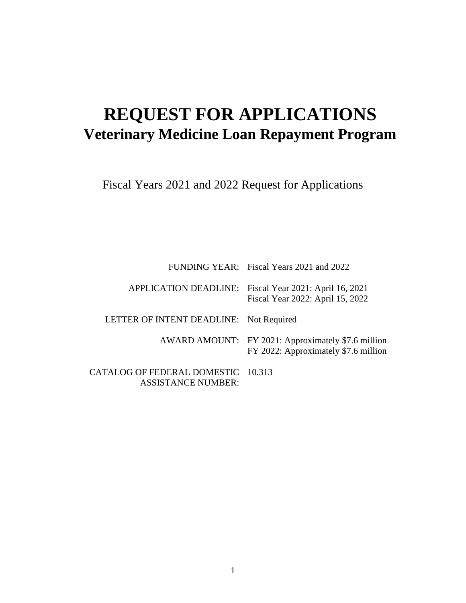# **REQUEST FOR APPLICATIONS Veterinary Medicine Loan Repayment Program**

Fiscal Years 2021 and 2022 Request for Applications

FUNDING YEAR: Fiscal Years 2021 and 2022

APPLICATION DEADLINE: Fiscal Year 2021: April 16, 2021 Fiscal Year 2022: April 15, 2022

LETTER OF INTENT DEADLINE: Not Required

AWARD AMOUNT: FY 2021: Approximately \$7.6 million FY 2022: Approximately \$7.6 million

CATALOG OF FEDERAL DOMESTIC 10.313ASSISTANCE NUMBER: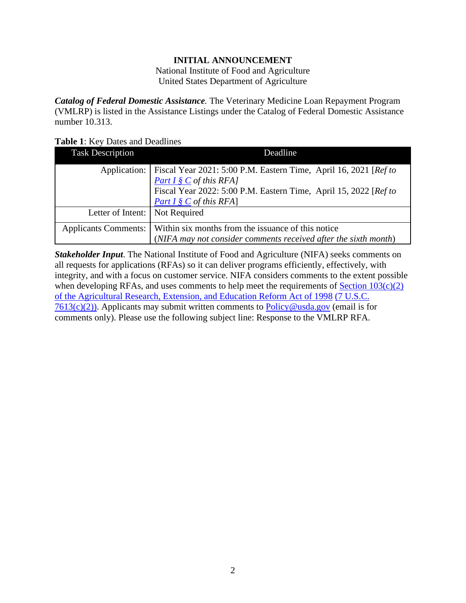#### **INITIAL ANNOUNCEMENT**

National Institute of Food and Agriculture United States Department of Agriculture

<span id="page-1-0"></span>*Catalog of Federal Domestic Assistance.* The Veterinary Medicine Loan Repayment Program (VMLRP) is listed in the Assistance Listings under the Catalog of Federal Domestic Assistance number 10.313.

#### <span id="page-1-1"></span>**Table 1**: Key Dates and Deadlines

| <b>Task Description</b> | Deadline                                                         |  |  |
|-------------------------|------------------------------------------------------------------|--|--|
| Application:            | Fiscal Year 2021: 5:00 P.M. Eastern Time, April 16, 2021 [Ref to |  |  |
|                         | Part $I \S C$ of this RFA]                                       |  |  |
|                         | Fiscal Year 2022: 5:00 P.M. Eastern Time, April 15, 2022 [Ref to |  |  |
|                         | Part $I \S C$ of this RFA]                                       |  |  |
| Letter of Intent:       | Not Required                                                     |  |  |
| Applicants Comments:    | Within six months from the issuance of this notice               |  |  |
|                         | (NIFA may not consider comments received after the sixth month)  |  |  |

*Stakeholder Input*. The National Institute of Food and Agriculture (NIFA) seeks comments on all requests for applications (RFAs) so it can deliver programs efficiently, effectively, with integrity, and with a focus on customer service. NIFA considers comments to the extent possible when developing RFAs, and uses comments to help meet the requirements of  $Section 103(c)(2)$ [of the Agricultural Research, Extension, and Education Reform Act of 1998](https://nifa.usda.gov/sites/default/files/resource/Agricultural-Research-Extension-and-Education-Reform-Act-of-1998.pdf) [\(7 U.S.C.](https://nifa.usda.gov/sites/default/files/resource/Agricultural-Research-Extension-and-Education-Reform-Act-of-1998.pdf)   $7613(c)(2)$ ). Applicants may submit written comments to [Policy@usda.gov](mailto:Policy@usda.gov) (email is for comments only). Please use the following subject line: Response to the VMLRP RFA.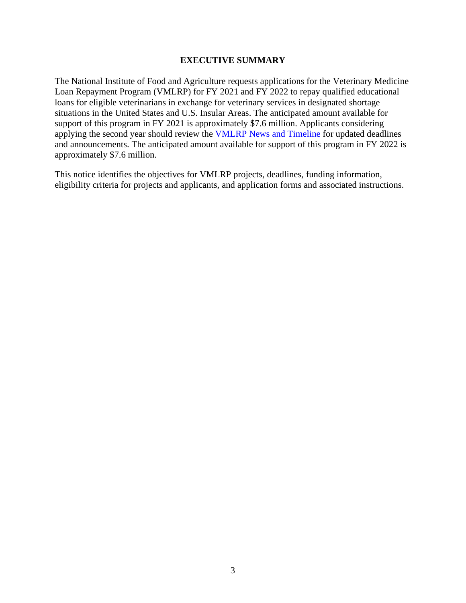#### **EXECUTIVE SUMMARY**

<span id="page-2-0"></span>The National Institute of Food and Agriculture requests applications for the Veterinary Medicine Loan Repayment Program (VMLRP) for FY 2021 and FY 2022 to repay qualified educational loans for eligible veterinarians in exchange for veterinary services in designated shortage situations in the United States and U.S. Insular Areas. The anticipated amount available for support of this program in FY 2021 is approximately \$7.6 million. Applicants considering applying the second year should review the [VMLRP News and](https://www.nifa.usda.gov/vmlrp-timeline) Timeline for updated deadlines and announcements. The anticipated amount available for support of this program in FY 2022 is approximately \$7.6 million.

This notice identifies the objectives for VMLRP projects, deadlines, funding information, eligibility criteria for projects and applicants, and application forms and associated instructions.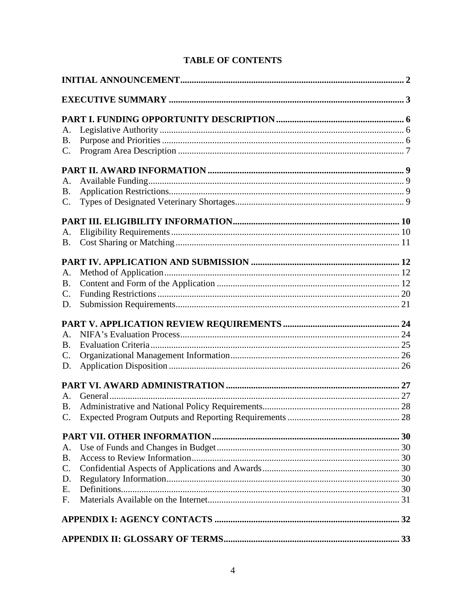| A.              |  |  |  |
|-----------------|--|--|--|
| <b>B.</b>       |  |  |  |
| $\mathbf{C}$ .  |  |  |  |
|                 |  |  |  |
| A.              |  |  |  |
| <b>B.</b>       |  |  |  |
| C.              |  |  |  |
|                 |  |  |  |
| A.              |  |  |  |
| <b>B.</b>       |  |  |  |
|                 |  |  |  |
| A.              |  |  |  |
| <b>B.</b>       |  |  |  |
| $\mathbf{C}$ .  |  |  |  |
| D.              |  |  |  |
|                 |  |  |  |
| A.              |  |  |  |
| <b>B.</b>       |  |  |  |
| $\mathcal{C}$ . |  |  |  |
| D.              |  |  |  |
|                 |  |  |  |
| A.              |  |  |  |
| <b>B.</b>       |  |  |  |
|                 |  |  |  |
|                 |  |  |  |
| A.              |  |  |  |
| <b>B.</b>       |  |  |  |
| $C_{\cdot}$     |  |  |  |
| D.              |  |  |  |
| Ε.              |  |  |  |
| F.              |  |  |  |
|                 |  |  |  |
|                 |  |  |  |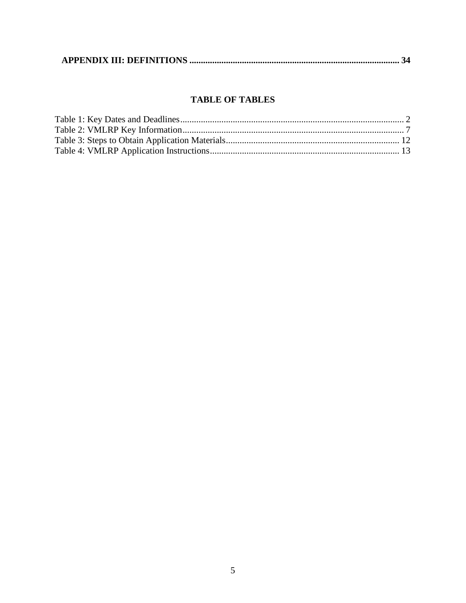|--|--|--|

### **TABLE OF TABLES**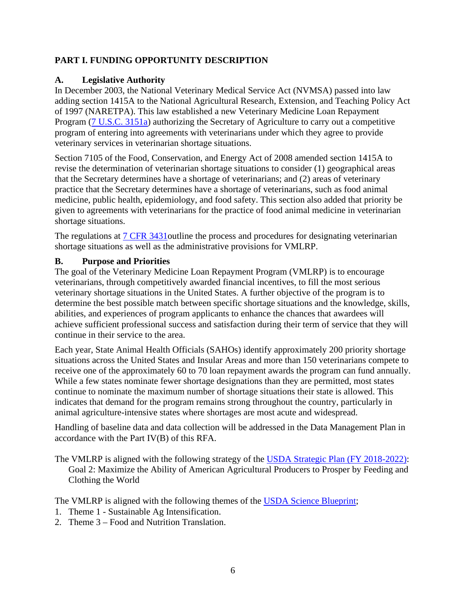## <span id="page-5-0"></span>**PART I. FUNDING OPPORTUNITY DESCRIPTION**

#### <span id="page-5-1"></span>**A. Legislative Authority**

In December 2003, the National Veterinary Medical Service Act (NVMSA) passed into law adding section 1415A to the National Agricultural Research, Extension, and Teaching Policy Act of 1997 (NARETPA). This law established a new Veterinary Medicine Loan Repayment Program [\(7 U.S.C. 3151a\)](https://uscode.house.gov/view.xhtml?req=(title:7%20section:3151a%20edition:prelim)%20OR%20(granuleid:USC-prelim-title7-section3151a)&f=treesort&edition=prelim&num=0&jumpTo=true) authorizing the Secretary of Agriculture to carry out a competitive program of entering into agreements with veterinarians under which they agree to provide veterinary services in veterinarian shortage situations.

Section 7105 of the Food, Conservation, and Energy Act of 2008 amended section 1415A to revise the determination of veterinarian shortage situations to consider (1) geographical areas that the Secretary determines have a shortage of veterinarians; and (2) areas of veterinary practice that the Secretary determines have a shortage of veterinarians, such as food animal medicine, public health, epidemiology, and food safety. This section also added that priority be given to agreements with veterinarians for the practice of food animal medicine in veterinarian shortage situations.

The regulations at 7 CFR 3431 outline the process and procedures for designating veterinarian shortage situations as well as the administrative provisions for VMLRP.

#### <span id="page-5-2"></span>**B. Purpose and Priorities**

The goal of the Veterinary Medicine Loan Repayment Program (VMLRP) is to encourage veterinarians, through competitively awarded financial incentives, to fill the most serious veterinary shortage situations in the United States. A further objective of the program is to determine the best possible match between specific shortage situations and the knowledge, skills, abilities, and experiences of program applicants to enhance the chances that awardees will achieve sufficient professional success and satisfaction during their term of service that they will continue in their service to the area.

Each year, State Animal Health Officials (SAHOs) identify approximately 200 priority shortage situations across the United States and Insular Areas and more than 150 veterinarians compete to receive one of the approximately 60 to 70 loan repayment awards the program can fund annually. While a few states nominate fewer shortage designations than they are permitted, most states continue to nominate the maximum number of shortage situations their state is allowed. This indicates that demand for the program remains strong throughout the country, particularly in animal agriculture-intensive states where shortages are most acute and widespread.

Handling of baseline data and data collection will be addressed in the Data Management Plan in accordance with the Part IV(B) of this RFA.

The VMLRP is aligned with the following strategy [of the USDA Strategic Plan \(FY 2018-2022\):](https://www.usda.gov/sites/default/files/documents/usda-strategic-plan-2018-2022.pdf)  Goal 2: Maximize the Ability of American Agricultural Producers to Prosper by Feeding and Clothing the World

The VMLRP is aligned with the following themes of the [USDA Science Blueprint;](https://www.usda.gov/sites/default/files/documents/usda-science-blueprint.pdf)

- 1. Theme 1 Sustainable Ag Intensification.
- 2. Theme 3 Food and Nutrition Translation.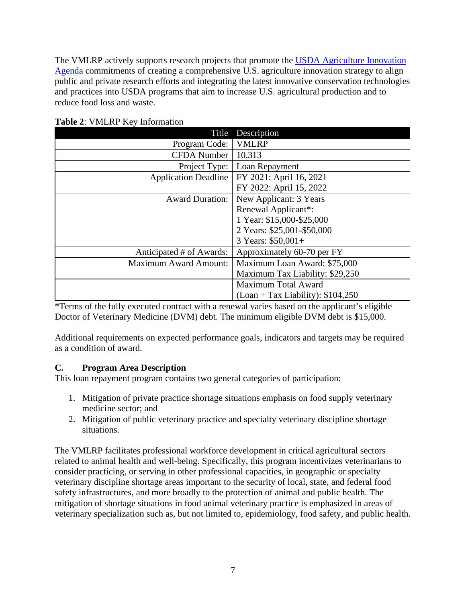The VMLRP actively supports research projects that promote the USDA Agriculture Innovation [Agenda](https://www.usda.gov/sites/default/files/documents/agriculture-innovation-agenda-vision-statement.pdf) commitments of creating a comprehensive U.S. agriculture innovation strategy to align public and private research efforts and integrating the latest innovative conservation technologies and practices into USDA programs that aim to increase U.S. agricultural production and to reduce food loss and waste.

| Title                        | Description                         |
|------------------------------|-------------------------------------|
| Program Code:                | <b>VMLRP</b>                        |
| <b>CFDA</b> Number           | 10.313                              |
| Project Type:                | Loan Repayment                      |
| <b>Application Deadline</b>  | FY 2021: April 16, 2021             |
|                              | FY 2022: April 15, 2022             |
| <b>Award Duration:</b>       | New Applicant: 3 Years              |
|                              | Renewal Applicant*:                 |
|                              | 1 Year: \$15,000-\$25,000           |
|                              | 2 Years: \$25,001-\$50,000          |
|                              | 3 Years: $$50,001+$                 |
| Anticipated # of Awards:     | Approximately 60-70 per FY          |
| <b>Maximum Award Amount:</b> | Maximum Loan Award: \$75,000        |
|                              | Maximum Tax Liability: \$29,250     |
|                              | <b>Maximum Total Award</b>          |
|                              | $( Loan + Tax Liability): $104,250$ |

<span id="page-6-1"></span>**Table 2**: VMLRP Key Information

\*Terms of the fully executed contract with a renewal varies based on the applicant's eligible Doctor of Veterinary Medicine (DVM) debt. The minimum eligible DVM debt is \$15,000.

Additional requirements on expected performance goals, indicators and targets may be required as a condition of award.

# <span id="page-6-0"></span>**C. Program Area Description**

This loan repayment program contains two general categories of participation:

- 1. Mitigation of private practice shortage situations emphasis on food supply veterinary medicine sector; and
- 2. Mitigation of public veterinary practice and specialty veterinary discipline shortage situations.

The VMLRP facilitates professional workforce development in critical agricultural sectors related to animal health and well-being. Specifically, this program incentivizes veterinarians to consider practicing, or serving in other professional capacities, in geographic or specialty veterinary discipline shortage areas important to the security of local, state, and federal food safety infrastructures, and more broadly to the protection of animal and public health. The mitigation of shortage situations in food animal veterinary practice is emphasized in areas of veterinary specialization such as, but not limited to, epidemiology, food safety, and public health.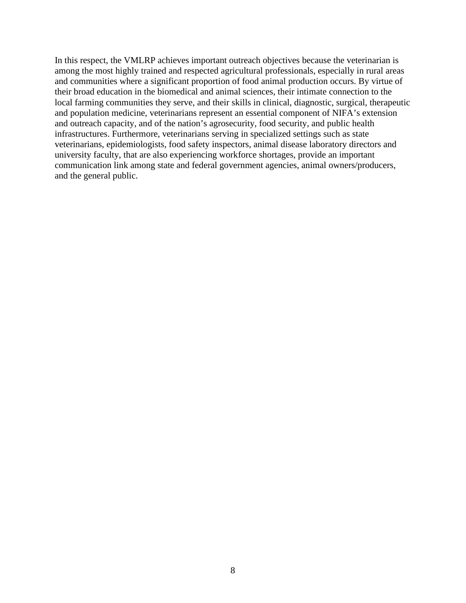In this respect, the VMLRP achieves important outreach objectives because the veterinarian is among the most highly trained and respected agricultural professionals, especially in rural areas and communities where a significant proportion of food animal production occurs. By virtue of their broad education in the biomedical and animal sciences, their intimate connection to the local farming communities they serve, and their skills in clinical, diagnostic, surgical, therapeutic and population medicine, veterinarians represent an essential component of NIFA's extension and outreach capacity, and of the nation's agrosecurity, food security, and public health infrastructures. Furthermore, veterinarians serving in specialized settings such as state veterinarians, epidemiologists, food safety inspectors, animal disease laboratory directors and university faculty, that are also experiencing workforce shortages, provide an important communication link among state and federal government agencies, animal owners/producers, and the general public.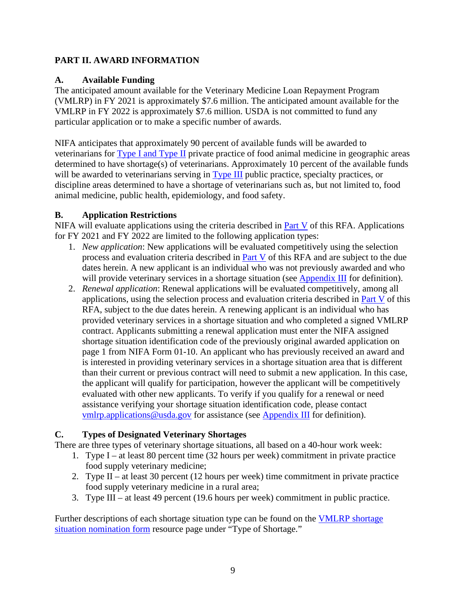## <span id="page-8-0"></span>**PART II. AWARD INFORMATION**

### <span id="page-8-1"></span>**A. Available Funding**

The anticipated amount available for the Veterinary Medicine Loan Repayment Program (VMLRP) in FY 2021 is approximately \$7.6 million. The anticipated amount available for the VMLRP in FY 2022 is approximately \$7.6 million. USDA is not committed to fund any particular application or to make a specific number of awards.

NIFA anticipates that approximately 90 percent of available funds will be awarded to veterinarians for [Type I and Type II](https://nifa.usda.gov/resource/vmlrp-shortage-nomination-form#type1) private practice of food animal medicine in geographic areas determined to have shortage(s) of veterinarians. Approximately 10 percent of the available funds will be awarded to veterinarians serving in [Type III](https://nifa.usda.gov/resource/vmlrp-shortage-nomination-form#type3) public practice, specialty practices, or discipline areas determined to have a shortage of veterinarians such as, but not limited to, food animal medicine, public health, epidemiology, and food safety.

### <span id="page-8-2"></span>**B. Application Restrictions**

NIFA will evaluate applications using the criteria described in [Part V](#page-23-0) of this RFA. Applications for FY 2021 and FY 2022 are limited to the following application types:

- 1. *New application*: New applications will be evaluated competitively using the selection process and evaluation criteria described in [Part V](#page-23-0) of this RFA and are subject to the due dates herein. A new applicant is an individual who was not previously awarded and who will provide veterinary services in a shortage situation (see [Appendix III](#page-32-1) for definition).
- 2. *Renewal application*: Renewal applications will be evaluated competitively, among all applications, using the selection process and evaluation criteria described in [Part V](#page-23-0) of this RFA, subject to the due dates herein. A renewing applicant is an individual who has provided veterinary services in a shortage situation and who completed a signed VMLRP contract. Applicants submitting a renewal application must enter the NIFA assigned shortage situation identification code of the previously original awarded application on page 1 from NIFA Form 01-10. An applicant who has previously received an award and is interested in providing veterinary services in a shortage situation area that is different than their current or previous contract will need to submit a new application. In this case, the applicant will qualify for participation, however the applicant will be competitively evaluated with other new applicants. To verify if you qualify for a renewal or need assistance verifying your shortage situation identification code, please contact [vmlrp.applications@usda.gov](mailto:vmlrp.applications@usda.gov) for assistance (see [Appendix III](#page-32-1) for definition).

# <span id="page-8-3"></span>**C. Types of Designated Veterinary Shortages**

There are three types of veterinary shortage situations, all based on a 40-hour work week:

- 1. Type I at least 80 percent time (32 hours per week) commitment in private practice food supply veterinary medicine;
- 2. Type II at least 30 percent (12 hours per week) time commitment in private practice food supply veterinary medicine in a rural area;
- 3. Type III at least 49 percent (19.6 hours per week) commitment in public practice.

Further descriptions of each shortage situation type can be found on the [VMLRP shortage](https://nifa.usda.gov/resource/vmlrp-veterinarian-shortage-situation-nomination-form-form-nifa-2009-0001)  [situation nomination form](https://nifa.usda.gov/resource/vmlrp-veterinarian-shortage-situation-nomination-form-form-nifa-2009-0001) resource page under "Type of Shortage."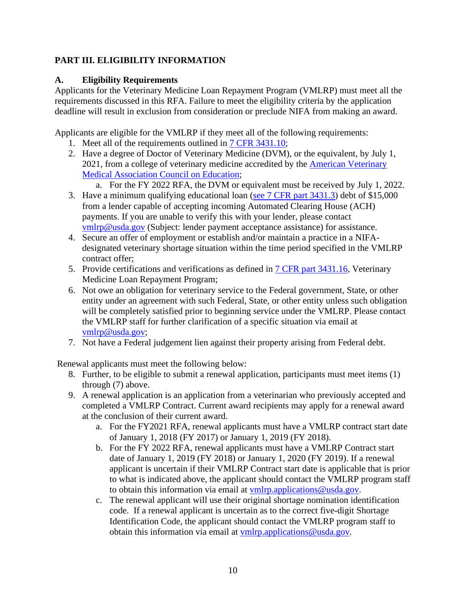# <span id="page-9-0"></span>**PART III. ELIGIBILITY INFORMATION**

## <span id="page-9-1"></span>**A. Eligibility Requirements**

Applicants for the Veterinary Medicine Loan Repayment Program (VMLRP) must meet all the requirements discussed in this RFA. Failure to meet the eligibility criteria by the application deadline will result in exclusion from consideration or preclude NIFA from making an award.

Applicants are eligible for the VMLRP if they meet all of the following requirements:

- 1. Meet all of the requirements outlined in [7 CFR 3431.10;](http://www.ecfr.gov/cgi-bin/retrieveECFR?gp=1&SID=6d961b9338dd9d4c3d80d32c8a9d719c&ty=HTML&h=L&mc=true&r=SECTION&n=se7.15.3431_110)
- 2. Have a degree of Doctor of Veterinary Medicine (DVM), or the equivalent, by July 1, 2021, from a college of veterinary medicine accredited by the American Veterinary [Medical Association Council on Education;](https://www.avma.org/education/accredited-veterinary-colleges)
	- a. For the FY 2022 RFA, the DVM or equivalent must be received by July 1, 2022.
- 3. Have a minimum qualifying educational loan [\(see 7 CFR part 3431.3\)](https://www.ecfr.gov/cgi-bin/retrieveECFR?gp=1&SID=6d961b9338dd9d4c3d80d32c8a9d719c&h=L&mc=true&n=pt7.15.3431&r=PART&ty=HTML#se7.15.3431_13) debt of \$15,000 from a lender capable of accepting incoming Automated Clearing House (ACH) payments. If you are unable to verify this with your lender, please contact [vmlrp@usda.gov](mailto:vmlrp@usda.gov) (Subject: lender payment acceptance assistance) for assistance.
- 4. Secure an offer of employment or establish and/or maintain a practice in a NIFAdesignated veterinary shortage situation within the time period specified in the VMLRP contract offer;
- 5. Provide certifications and verifications as defined in [7 CFR part 3431.16,](https://www.ecfr.gov/cgi-bin/retrieveECFR?gp=1&SID=6d961b9338dd9d4c3d80d32c8a9d719c&h=L&mc=true&n=pt7.15.3431&r=PART&ty=HTML#se7.15.3431_116) Veterinary Medicine Loan Repayment Program;
- 6. Not owe an obligation for veterinary service to the Federal government, State, or other entity under an agreement with such Federal, State, or other entity unless such obligation will be completely satisfied prior to beginning service under the VMLRP. Please contact the VMLRP staff for further clarification of a specific situation via email at [vmlrp@usda.gov;](mailto:vmlrp@usda.gov)
- 7. Not have a Federal judgement lien against their property arising from Federal debt.

Renewal applicants must meet the following below:

- 8. Further, to be eligible to submit a renewal application, participants must meet items (1) through (7) above.
- 9. A renewal application is an application from a veterinarian who previously accepted and completed a VMLRP Contract. Current award recipients may apply for a renewal award at the conclusion of their current award.
	- a. For the FY2021 RFA, renewal applicants must have a VMLRP contract start date of January 1, 2018 (FY 2017) or January 1, 2019 (FY 2018).
	- b. For the FY 2022 RFA, renewal applicants must have a VMLRP Contract start date of January 1, 2019 (FY 2018) or January 1, 2020 (FY 2019). If a renewal applicant is uncertain if their VMLRP Contract start date is applicable that is prior to what is indicated above, the applicant should contact the VMLRP program staff to obtain this information via email at [vmlrp.applications@usda.gov.](mailto:vmlrp.applications@usda.gov)
	- c. The renewal applicant will use their original shortage nomination identification code. If a renewal applicant is uncertain as to the correct five-digit Shortage Identification Code, the applicant should contact the VMLRP program staff to obtain this information via email at [vmlrp.applications@usda.gov.](mailto:vmlrp.applications@usda.gov)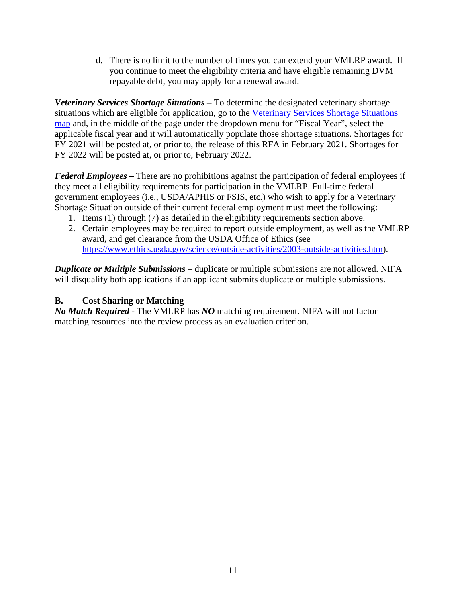d. There is no limit to the number of times you can extend your VMLRP award. If you continue to meet the eligibility criteria and have eligible remaining DVM repayable debt, you may apply for a renewal award.

*Veterinary Services Shortage Situations –* To determine the designated veterinary shortage situations which are eligible for application, go to the [Veterinary Services Shortage Situations](https://www.nifa.usda.gov/vmlrp-map?state=All&field_status_value=All&field_vsgp_status_value=All&fy%5Bvalue%5D%5Byear%5D=2019&=Apply)  [map](https://www.nifa.usda.gov/vmlrp-map?state=All&field_status_value=All&field_vsgp_status_value=All&fy%5Bvalue%5D%5Byear%5D=2019&=Apply) and, in the middle of the page under the dropdown menu for "Fiscal Year", select the applicable fiscal year and it will automatically populate those shortage situations. Shortages for FY 2021 will be posted at, or prior to, the release of this RFA in February 2021. Shortages for FY 2022 will be posted at, or prior to, February 2022.

*Federal Employees –* There are no prohibitions against the participation of federal employees if they meet all eligibility requirements for participation in the VMLRP. Full-time federal government employees (i.e., USDA/APHIS or FSIS, etc.) who wish to apply for a Veterinary Shortage Situation outside of their current federal employment must meet the following:

- 1. Items (1) through (7) as detailed in the eligibility requirements section above.
- 2. Certain employees may be required to report outside employment, as well as the VMLRP award, and get clearance from the USDA Office of Ethics (see [https://www.ethics.usda.gov/science/outside-activities/2003-outside-activities.htm\)](https://www.ethics.usda.gov/science/outside-activities/2003-outside-activities.htm).

*Duplicate or Multiple Submissions* – duplicate or multiple submissions are not allowed. NIFA will disqualify both applications if an applicant submits duplicate or multiple submissions.

# <span id="page-10-0"></span>**B. Cost Sharing or Matching**

*No Match Required* - The VMLRP has *NO* matching requirement. NIFA will not factor matching resources into the review process as an evaluation criterion.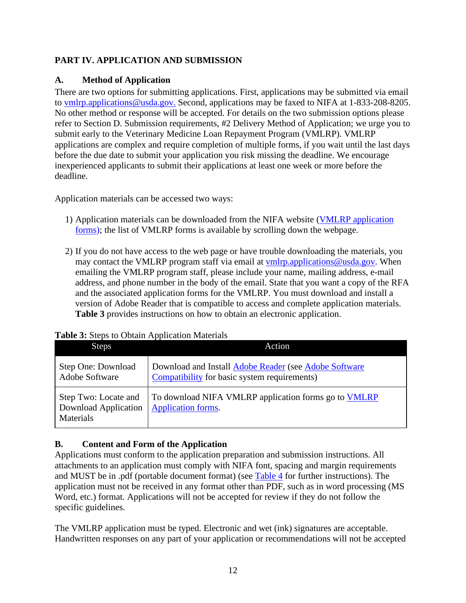# <span id="page-11-0"></span>**PART IV. APPLICATION AND SUBMISSION**

## <span id="page-11-1"></span>**A. Method of Application**

There are two options for submitting applications. First, applications may be submitted via email to [vmlrp.applications@usda.gov.](mailto:vmlrp.applications@usda.gov) Second, applications may be faxed to NIFA at 1-833-208-8205. No other method or response will be accepted. For details on the two submission options please refer to Section D. Submission requirements, #2 Delivery Method of Application; we urge you to submit early to the Veterinary Medicine Loan Repayment Program (VMLRP). VMLRP applications are complex and require completion of multiple forms, if you wait until the last days before the due date to submit your application you risk missing the deadline. We encourage inexperienced applicants to submit their applications at least one week or more before the deadline.

Application materials can be accessed two ways:

- 1) Application materials can be downloaded from the NIFA website [\(VMLRP application](https://www.nifa.usda.gov/vmlrp-application-guide)  [forms\)](https://www.nifa.usda.gov/vmlrp-application-guide); the list of VMLRP forms is available by scrolling down the webpage.
- 2) If you do not have access to the web page or have trouble downloading the materials, you may contact the VMLRP program staff via email at [vmlrp.applications@usda.gov.](mailto:vmlrp.applications@usda.gov) When emailing the VMLRP program staff, please include your name, mailing address, e-mail address, and phone number in the body of the email. State that you want a copy of the RFA and the associated application forms for the VMLRP. You must download and install a version of Adobe Reader that is compatible to access and complete application materials. **Table 3** provides instructions on how to obtain an electronic application.

# <span id="page-11-3"></span>**Table 3:** Steps to Obtain Application Materials

| <b>Steps</b>                                              | Action                                                                                                |  |  |
|-----------------------------------------------------------|-------------------------------------------------------------------------------------------------------|--|--|
| Step One: Download<br>Adobe Software                      | Download and Install Adobe Reader (see Adobe Software<br>Compatibility for basic system requirements) |  |  |
| Step Two: Locate and<br>Download Application<br>Materials | To download NIFA VMLRP application forms go to VMLRP<br>Application forms.                            |  |  |

# <span id="page-11-4"></span><span id="page-11-2"></span>**B. Content and Form of the Application**

Applications must conform to the application preparation and submission instructions. All attachments to an application must comply with NIFA font, spacing and margin requirements and MUST be in .pdf (portable document format) (see [Table 4](#page-12-1) for further instructions). The application must not be received in any format other than PDF, such as in word processing (MS Word, etc.) format. Applications will not be accepted for review if they do not follow the specific guidelines.

The VMLRP application must be typed. Electronic and wet (ink) signatures are acceptable. Handwritten responses on any part of your application or recommendations will not be accepted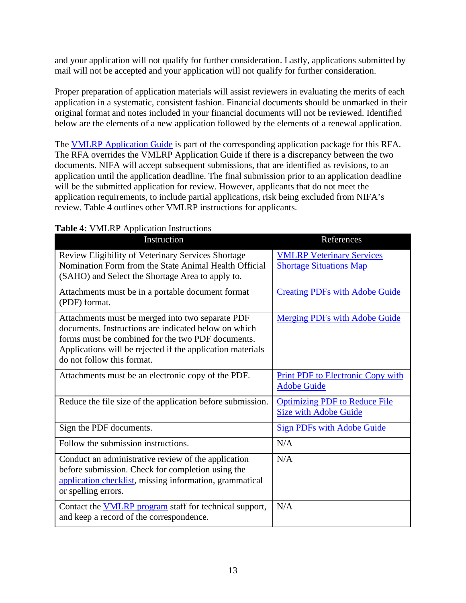and your application will not qualify for further consideration. Lastly, applications submitted by mail will not be accepted and your application will not qualify for further consideration.

Proper preparation of application materials will assist reviewers in evaluating the merits of each application in a systematic, consistent fashion. Financial documents should be unmarked in their original format and notes included in your financial documents will not be reviewed. Identified below are the elements of a new application followed by the elements of a renewal application.

The [VMLRP Application Guide](https://www.nifa.usda.gov/vmlrp-application-guide) is part of the corresponding application package for this RFA. The RFA overrides the VMLRP Application Guide if there is a discrepancy between the two documents. NIFA will accept subsequent submissions, that are identified as revisions, to an application until the application deadline. The final submission prior to an application deadline will be the submitted application for review. However, applicants that do not meet the application requirements, to include partial applications, risk being excluded from NIFA's review. Table 4 outlines other VMLRP instructions for applicants.

| Instruction                                                                                                                                                                                                                                               | References                                                           |
|-----------------------------------------------------------------------------------------------------------------------------------------------------------------------------------------------------------------------------------------------------------|----------------------------------------------------------------------|
| Review Eligibility of Veterinary Services Shortage<br>Nomination Form from the State Animal Health Official<br>(SAHO) and Select the Shortage Area to apply to.                                                                                           | <b>VMLRP Veterinary Services</b><br><b>Shortage Situations Map</b>   |
| Attachments must be in a portable document format<br>(PDF) format.                                                                                                                                                                                        | <b>Creating PDFs with Adobe Guide</b>                                |
| Attachments must be merged into two separate PDF<br>documents. Instructions are indicated below on which<br>forms must be combined for the two PDF documents.<br>Applications will be rejected if the application materials<br>do not follow this format. | <b>Merging PDFs with Adobe Guide</b>                                 |
| Attachments must be an electronic copy of the PDF.                                                                                                                                                                                                        | <b>Print PDF to Electronic Copy with</b><br><b>Adobe Guide</b>       |
| Reduce the file size of the application before submission.                                                                                                                                                                                                | <b>Optimizing PDF to Reduce File</b><br><b>Size with Adobe Guide</b> |
| Sign the PDF documents.                                                                                                                                                                                                                                   | <b>Sign PDFs with Adobe Guide</b>                                    |
| Follow the submission instructions.                                                                                                                                                                                                                       | N/A                                                                  |
| Conduct an administrative review of the application<br>before submission. Check for completion using the<br>application checklist, missing information, grammatical<br>or spelling errors.                                                                | N/A                                                                  |
| Contact the <b>VMLRP</b> program staff for technical support,<br>and keep a record of the correspondence.                                                                                                                                                 | N/A                                                                  |

#### <span id="page-12-1"></span><span id="page-12-0"></span>**Table 4:** VMLRP Application Instructions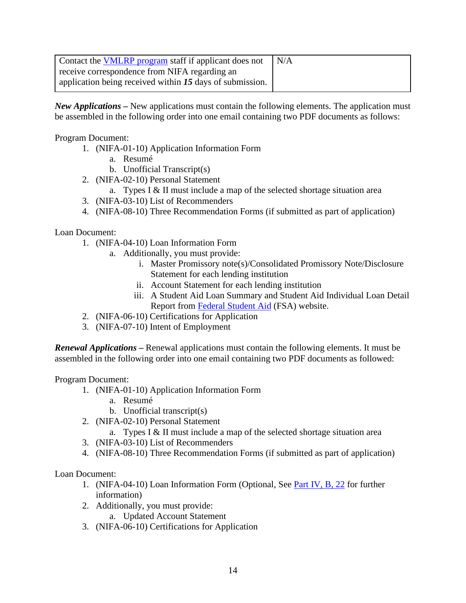| Contact the <b>VMLRP</b> program staff if applicant does not | $\mathsf{I} \mathsf{N} \mathsf{A}$ |
|--------------------------------------------------------------|------------------------------------|
| receive correspondence from NIFA regarding an                |                                    |
| application being received within 15 days of submission.     |                                    |

*New Applications –* New applications must contain the following elements. The application must be assembled in the following order into one email containing two PDF documents as follows:

Program Document:

- 1. (NIFA-01-10) Application Information Form
	- a. Resumé
	- b. Unofficial Transcript(s)
- 2. (NIFA-02-10) Personal Statement
	- a. Types I & II must include a map of the selected shortage situation area
- 3. (NIFA-03-10) List of Recommenders
- 4. (NIFA-08-10) Three Recommendation Forms (if submitted as part of application)

Loan Document:

- 1. (NIFA-04-10) Loan Information Form
	- a. Additionally, you must provide:
		- i. Master Promissory note(s)/Consolidated Promissory Note/Disclosure Statement for each lending institution
		- ii. Account Statement for each lending institution
		- iii. A Student Aid Loan Summary and Student Aid Individual Loan Detail Report from [Federal Student Aid](https://studentaid.gov/) (FSA) website.
- 2. (NIFA-06-10) Certifications for Application
- 3. (NIFA-07-10) Intent of Employment

*Renewal Applications –* Renewal applications must contain the following elements. It must be assembled in the following order into one email containing two PDF documents as followed:

Program Document:

- 1. (NIFA-01-10) Application Information Form
	- a. Resumé
	- b. Unofficial transcript $(s)$
- 2. (NIFA-02-10) Personal Statement
	- a. Types I & II must include a map of the selected shortage situation area
- 3. (NIFA-03-10) List of Recommenders
- 4. (NIFA-08-10) Three Recommendation Forms (if submitted as part of application)

Loan Document:

- 1. (NIFA-04-10) Loan Information Form (Optional, See [Part IV, B, 22](#page-16-0) for further information)
- 2. Additionally, you must provide:
	- a. Updated Account Statement
- 3. (NIFA-06-10) Certifications for Application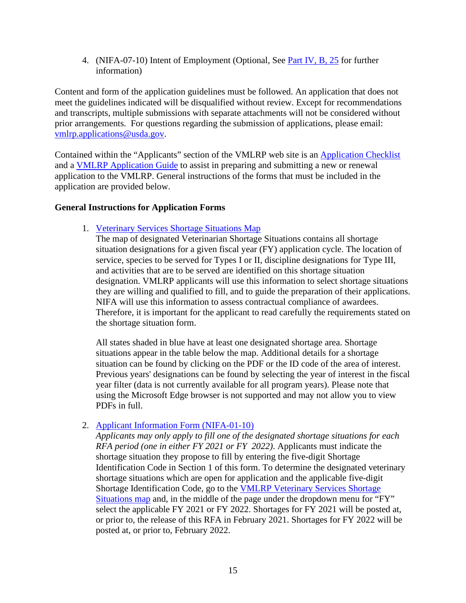4. (NIFA-07-10) Intent of Employment (Optional, See [Part IV, B, 25](#page-18-0) for further information)

Content and form of the application guidelines must be followed. An application that does not meet the guidelines indicated will be disqualified without review. Except for recommendations and transcripts, multiple submissions with separate attachments will not be considered without prior arrangements. For questions regarding the submission of applications, please email: [vmlrp.applications@usda.gov.](mailto:vmlrp.applications@usda.gov)

Contained within the "Applicants" section of the VMLRP web site is an [Application Checklist](https://www.nifa.usda.gov/resource/vmlrp-application-checklist) and a [VMLRP Application Guide](https://nifa.usda.gov/vmlrp-application-guide) to assist in preparing and submitting a new or renewal application to the VMLRP. General instructions of the forms that must be included in the application are provided below.

#### **General Instructions for Application Forms**

1. [Veterinary Services Shortage Situations Map](https://www.nifa.usda.gov/vmlrp-map?state=All&field_status_value=All&field_vsgp_status_value=All&fy%5Bvalue%5D%5Byear%5D=2020&=Apply)

The map of designated Veterinarian Shortage Situations contains all shortage situation designations for a given fiscal year (FY) application cycle. The location of service, species to be served for Types I or II, discipline designations for Type III, and activities that are to be served are identified on this shortage situation designation. VMLRP applicants will use this information to select shortage situations they are willing and qualified to fill, and to guide the preparation of their applications. NIFA will use this information to assess contractual compliance of awardees. Therefore, it is important for the applicant to read carefully the requirements stated on the shortage situation form.

All states shaded in blue have at least one designated shortage area. Shortage situations appear in the table below the map. Additional details for a shortage situation can be found by clicking on the PDF or the ID code of the area of interest. Previous years' designations can be found by selecting the year of interest in the fiscal year filter (data is not currently available for all program years). Please note that using the Microsoft Edge browser is not supported and may not allow you to view PDFs in full.

2. [Applicant Information Form \(NIFA-01-10\)](https://www.nifa.usda.gov/resource/vmlrp-applicant-information-form-nifa-01-10)

*Applicants may only apply to fill one of the designated shortage situations for each RFA period (one in either FY 2021 or FY 2022)*. Applicants must indicate the shortage situation they propose to fill by entering the five-digit Shortage Identification Code in Section 1 of this form. To determine the designated veterinary shortage situations which are open for application and the applicable five-digit Shortage Identification Code, go to the [VMLRP Veterinary Services Shortage](https://www.nifa.usda.gov/vmlrp-map?state=All&field_status_value=All&field_vsgp_status_value=All&fy%5Bvalue%5D%5Byear%5D=2020&=Apply)  [Situations map](https://www.nifa.usda.gov/vmlrp-map?state=All&field_status_value=All&field_vsgp_status_value=All&fy%5Bvalue%5D%5Byear%5D=2020&=Apply) and, in the middle of the page under the dropdown menu for "FY" select the applicable FY 2021 or FY 2022. Shortages for FY 2021 will be posted at, or prior to, the release of this RFA in February 2021. Shortages for FY 2022 will be posted at, or prior to, February 2022.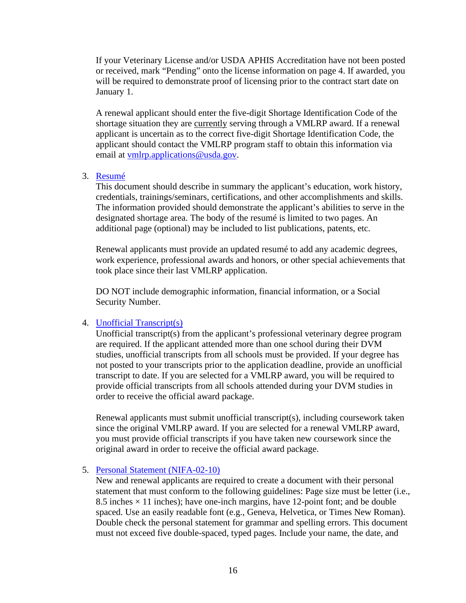If your Veterinary License and/or USDA APHIS Accreditation have not been posted or received, mark "Pending" onto the license information on page 4. If awarded, you will be required to demonstrate proof of licensing prior to the contract start date on January 1.

A renewal applicant should enter the five-digit Shortage Identification Code of the shortage situation they are currently serving through a VMLRP award. If a renewal applicant is uncertain as to the correct five-digit Shortage Identification Code, the applicant should contact the VMLRP program staff to obtain this information via email at [vmlrp.applications@usda.gov.](mailto:vmlrp.applications@usda.gov)

#### 3. [Resumé](https://www.nifa.usda.gov/resource/vmlrp-applicant-information-form-nifa-01-10)

This document should describe in summary the applicant's education, work history, credentials, trainings/seminars, certifications, and other accomplishments and skills. The information provided should demonstrate the applicant's abilities to serve in the designated shortage area. The body of the resumé is limited to two pages. An additional page (optional) may be included to list publications, patents, etc.

Renewal applicants must provide an updated resumé to add any academic degrees, work experience, professional awards and honors, or other special achievements that took place since their last VMLRP application.

DO NOT include demographic information, financial information, or a Social Security Number.

#### 4. [Unofficial Transcript\(s\)](https://www.nifa.usda.gov/resource/vmlrp-applicant-information-form-nifa-01-10)

Unofficial transcript(s) from the applicant's professional veterinary degree program are required. If the applicant attended more than one school during their DVM studies, unofficial transcripts from all schools must be provided. If your degree has not posted to your transcripts prior to the application deadline, provide an unofficial transcript to date. If you are selected for a VMLRP award, you will be required to provide official transcripts from all schools attended during your DVM studies in order to receive the official award package.

Renewal applicants must submit unofficial transcript(s), including coursework taken since the original VMLRP award. If you are selected for a renewal VMLRP award, you must provide official transcripts if you have taken new coursework since the original award in order to receive the official award package.

#### 5. [Personal Statement \(NIFA-02-10\)](https://www.nifa.usda.gov/resource/vmlrp-personal-statement-nifa-02-10)

New and renewal applicants are required to create a document with their personal statement that must conform to the following guidelines: Page size must be letter (i.e., 8.5 inches  $\times$  11 inches); have one-inch margins, have 12-point font; and be double spaced. Use an easily readable font (e.g., Geneva, Helvetica, or Times New Roman). Double check the personal statement for grammar and spelling errors. This document must not exceed five double-spaced, typed pages. Include your name, the date, and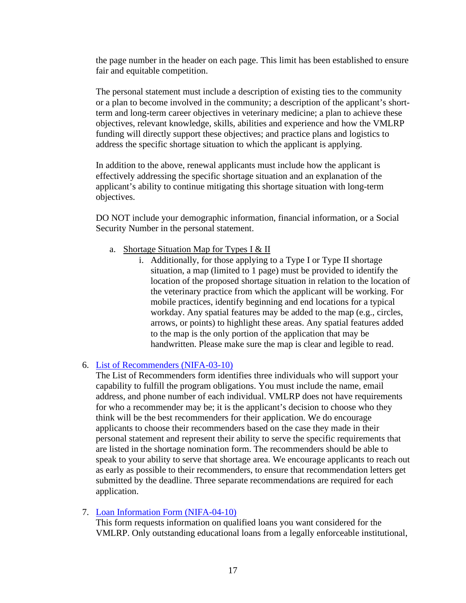the page number in the header on each page. This limit has been established to ensure fair and equitable competition.

The personal statement must include a description of existing ties to the community or a plan to become involved in the community; a description of the applicant's shortterm and long-term career objectives in veterinary medicine; a plan to achieve these objectives, relevant knowledge, skills, abilities and experience and how the VMLRP funding will directly support these objectives; and practice plans and logistics to address the specific shortage situation to which the applicant is applying.

In addition to the above, renewal applicants must include how the applicant is effectively addressing the specific shortage situation and an explanation of the applicant's ability to continue mitigating this shortage situation with long-term objectives.

DO NOT include your demographic information, financial information, or a Social Security Number in the personal statement.

- a. Shortage Situation Map for Types I & II
	- i. Additionally, for those applying to a Type I or Type II shortage situation, a map (limited to 1 page) must be provided to identify the location of the proposed shortage situation in relation to the location of the veterinary practice from which the applicant will be working. For mobile practices, identify beginning and end locations for a typical workday. Any spatial features may be added to the map (e.g., circles, arrows, or points) to highlight these areas. Any spatial features added to the map is the only portion of the application that may be handwritten. Please make sure the map is clear and legible to read.

#### 6. [List of Recommenders \(NIFA-03-10\)](https://www.nifa.usda.gov/resource/vmlrp-list-recommenders-nifa-03-10)

The List of Recommenders form identifies three individuals who will support your capability to fulfill the program obligations. You must include the name, email address, and phone number of each individual. VMLRP does not have requirements for who a recommender may be; it is the applicant's decision to choose who they think will be the best recommenders for their application. We do encourage applicants to choose their recommenders based on the case they made in their personal statement and represent their ability to serve the specific requirements that are listed in the shortage nomination form. The recommenders should be able to speak to your ability to serve that shortage area. We encourage applicants to reach out as early as possible to their recommenders, to ensure that recommendation letters get submitted by the deadline. Three separate recommendations are required for each application.

#### 7. [Loan Information Form \(NIFA-04-10\)](https://www.nifa.usda.gov/resource/vmlrp-loan-information-form-nifa-04-10)

<span id="page-16-0"></span>This form requests information on qualified loans you want considered for the VMLRP. Only outstanding educational loans from a legally enforceable institutional,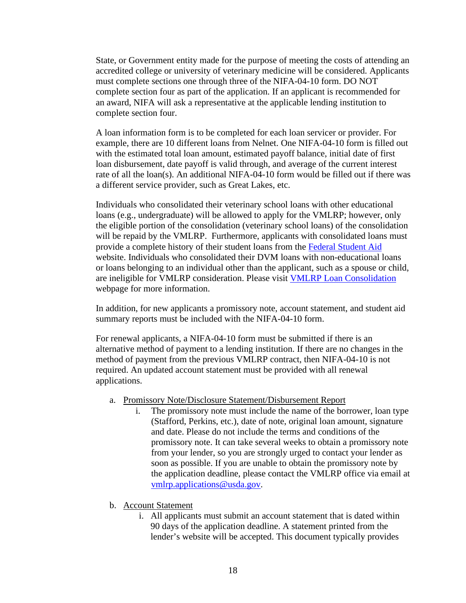State, or Government entity made for the purpose of meeting the costs of attending an accredited college or university of veterinary medicine will be considered. Applicants must complete sections one through three of the NIFA-04-10 form. DO NOT complete section four as part of the application. If an applicant is recommended for an award, NIFA will ask a representative at the applicable lending institution to complete section four.

A loan information form is to be completed for each loan servicer or provider. For example, there are 10 different loans from Nelnet. One NIFA-04-10 form is filled out with the estimated total loan amount, estimated payoff balance, initial date of first loan disbursement, date payoff is valid through, and average of the current interest rate of all the loan(s). An additional NIFA-04-10 form would be filled out if there was a different service provider, such as Great Lakes, etc.

Individuals who consolidated their veterinary school loans with other educational loans (e.g., undergraduate) will be allowed to apply for the VMLRP; however, only the eligible portion of the consolidation (veterinary school loans) of the consolidation will be repaid by the VMLRP. Furthermore, applicants with consolidated loans must provide a complete history of their student loans from the [Federal Student Aid](https://studentaid.gov/) website. Individuals who consolidated their DVM loans with non-educational loans or loans belonging to an individual other than the applicant, such as a spouse or child, are ineligible for VMLRP consideration. Please visit [VMLRP Loan Consolidation](https://www.nifa.usda.gov/vmlrp-loan-consolidation) webpage for more information.

In addition, for new applicants a promissory note, account statement, and student aid summary reports must be included with the NIFA-04-10 form.

For renewal applicants, a NIFA-04-10 form must be submitted if there is an alternative method of payment to a lending institution. If there are no changes in the method of payment from the previous VMLRP contract, then NIFA-04-10 is not required. An updated account statement must be provided with all renewal applications.

- a. Promissory Note/Disclosure Statement/Disbursement Report
	- i. The promissory note must include the name of the borrower, loan type (Stafford, Perkins, etc.), date of note, original loan amount, signature and date. Please do not include the terms and conditions of the promissory note. It can take several weeks to obtain a promissory note from your lender, so you are strongly urged to contact your lender as soon as possible. If you are unable to obtain the promissory note by the application deadline, please contact the VMLRP office via email at [vmlrp.applications@usda.gov.](mailto:vmlrp.applications@usda.gov)
- b. Account Statement
	- i. All applicants must submit an account statement that is dated within 90 days of the application deadline. A statement printed from the lender's website will be accepted. This document typically provides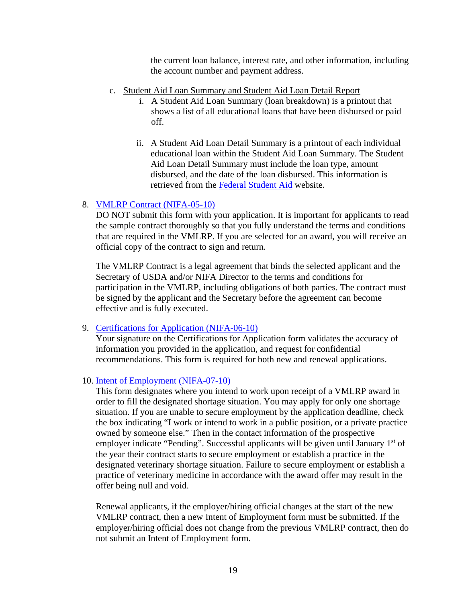the current loan balance, interest rate, and other information, including the account number and payment address.

- c. Student Aid Loan Summary and Student Aid Loan Detail Report
	- i. A Student Aid Loan Summary (loan breakdown) is a printout that shows a list of all educational loans that have been disbursed or paid off.
	- ii. A Student Aid Loan Detail Summary is a printout of each individual educational loan within the Student Aid Loan Summary. The Student Aid Loan Detail Summary must include the loan type, amount disbursed, and the date of the loan disbursed. This information is retrieved from the [Federal Student Aid](https://studentaid.gov/) website.

#### 8. [VMLRP Contract \(NIFA-05-10\)](https://www.nifa.usda.gov/resource/vmlrp-contract-nifa-05-10-sample)

DO NOT submit this form with your application. It is important for applicants to read the sample contract thoroughly so that you fully understand the terms and conditions that are required in the VMLRP. If you are selected for an award, you will receive an official copy of the contract to sign and return.

The VMLRP Contract is a legal agreement that binds the selected applicant and the Secretary of USDA and/or NIFA Director to the terms and conditions for participation in the VMLRP, including obligations of both parties. The contract must be signed by the applicant and the Secretary before the agreement can become effective and is fully executed.

#### 9. [Certifications for Application \(NIFA-06-10\)](https://www.nifa.usda.gov/resource/vmlrp-certifications-application-nifa-06-10)

Your signature on the Certifications for Application form validates the accuracy of information you provided in the application, and request for confidential recommendations. This form is required for both new and renewal applications.

#### 10. [Intent of Employment \(NIFA-07-10\)](https://www.nifa.usda.gov/resource/vmlrp-intent-employment-nifa-07-10)

<span id="page-18-0"></span>This form designates where you intend to work upon receipt of a VMLRP award in order to fill the designated shortage situation. You may apply for only one shortage situation. If you are unable to secure employment by the application deadline, check the box indicating "I work or intend to work in a public position, or a private practice owned by someone else." Then in the contact information of the prospective employer indicate "Pending". Successful applicants will be given until January  $1<sup>st</sup>$  of the year their contract starts to secure employment or establish a practice in the designated veterinary shortage situation. Failure to secure employment or establish a practice of veterinary medicine in accordance with the award offer may result in the offer being null and void.

Renewal applicants, if the employer/hiring official changes at the start of the new VMLRP contract, then a new Intent of Employment form must be submitted. If the employer/hiring official does not change from the previous VMLRP contract, then do not submit an Intent of Employment form.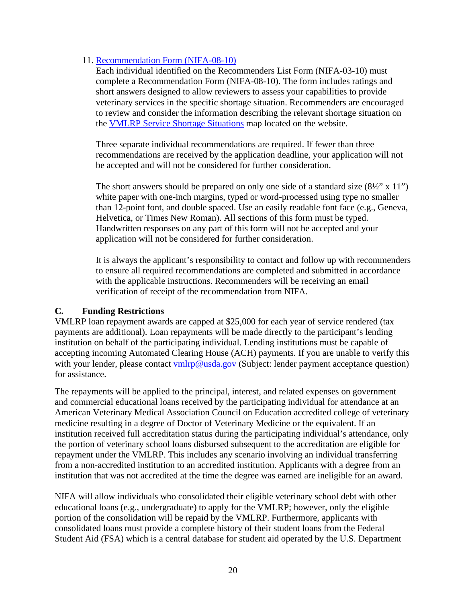#### 11. [Recommendation Form \(NIFA-08-10\)](https://www.nifa.usda.gov/resource/vmlrp-recommendation-form-nifa-08-10)

Each individual identified on the Recommenders List Form (NIFA-03-10) must complete a Recommendation Form (NIFA-08-10). The form includes ratings and short answers designed to allow reviewers to assess your capabilities to provide veterinary services in the specific shortage situation. Recommenders are encouraged to review and consider the information describing the relevant shortage situation on the [VMLRP Service Shortage Situations](https://www.nifa.usda.gov/vmlrp-map?state=All&field_status_value=All&field_vsgp_status_value=All&fy%5Bvalue%5D%5Byear%5D=2019&=Apply) map located on the website.

Three separate individual recommendations are required. If fewer than three recommendations are received by the application deadline, your application will not be accepted and will not be considered for further consideration.

The short answers should be prepared on only one side of a standard size  $(8\frac{1}{2}$ " x 11") white paper with one-inch margins, typed or word-processed using type no smaller than 12-point font, and double spaced. Use an easily readable font face (e.g., Geneva, Helvetica, or Times New Roman). All sections of this form must be typed. Handwritten responses on any part of this form will not be accepted and your application will not be considered for further consideration.

It is always the applicant's responsibility to contact and follow up with recommenders to ensure all required recommendations are completed and submitted in accordance with the applicable instructions. Recommenders will be receiving an email verification of receipt of the recommendation from NIFA.

#### <span id="page-19-0"></span>**C. Funding Restrictions**

VMLRP loan repayment awards are capped at \$25,000 for each year of service rendered (tax payments are additional). Loan repayments will be made directly to the participant's lending institution on behalf of the participating individual. Lending institutions must be capable of accepting incoming Automated Clearing House (ACH) payments. If you are unable to verify this with your lender, please contact **ymlrp@usda.gov** (Subject: lender payment acceptance question) for assistance.

The repayments will be applied to the principal, interest, and related expenses on government and commercial educational loans received by the participating individual for attendance at an American Veterinary Medical Association Council on Education accredited college of veterinary medicine resulting in a degree of Doctor of Veterinary Medicine or the equivalent. If an institution received full accreditation status during the participating individual's attendance, only the portion of veterinary school loans disbursed subsequent to the accreditation are eligible for repayment under the VMLRP. This includes any scenario involving an individual transferring from a non-accredited institution to an accredited institution. Applicants with a degree from an institution that was not accredited at the time the degree was earned are ineligible for an award.

NIFA will allow individuals who consolidated their eligible veterinary school debt with other educational loans (e.g., undergraduate) to apply for the VMLRP; however, only the eligible portion of the consolidation will be repaid by the VMLRP. Furthermore, applicants with consolidated loans must provide a complete history of their student loans from the Federal Student Aid (FSA) which is a central database for student aid operated by the U.S. Department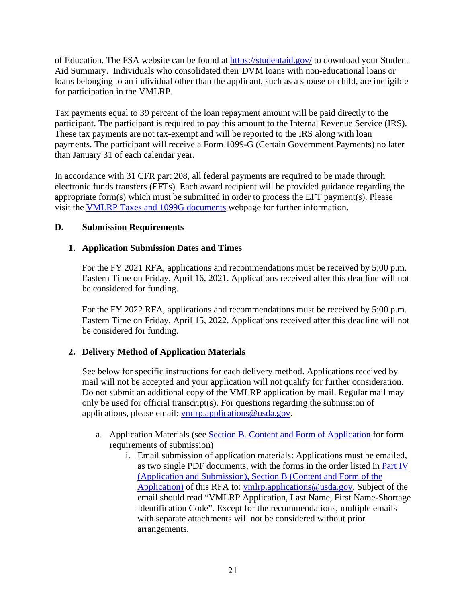of Education. The FSA website can be found at <https://studentaid.gov/> to download your Student Aid Summary. Individuals who consolidated their DVM loans with non-educational loans or loans belonging to an individual other than the applicant, such as a spouse or child, are ineligible for participation in the VMLRP.

Tax payments equal to 39 percent of the loan repayment amount will be paid directly to the participant. The participant is required to pay this amount to the Internal Revenue Service (IRS). These tax payments are not tax-exempt and will be reported to the IRS along with loan payments. The participant will receive a Form 1099-G (Certain Government Payments) no later than January 31 of each calendar year.

In accordance with 31 CFR part 208, all federal payments are required to be made through electronic funds transfers (EFTs). Each award recipient will be provided guidance regarding the appropriate form(s) which must be submitted in order to process the EFT payment(s). Please visit the [VMLRP Taxes and 1099G documents](https://www.nifa.usda.gov/resource/vmlrp-taxes-1099g) webpage for further information.

#### <span id="page-20-0"></span>**D. Submission Requirements**

#### **1. Application Submission Dates and Times**

For the FY 2021 RFA, applications and recommendations must be received by 5:00 p.m. Eastern Time on Friday, April 16, 2021. Applications received after this deadline will not be considered for funding.

For the FY 2022 RFA, applications and recommendations must be received by 5:00 p.m. Eastern Time on Friday, April 15, 2022. Applications received after this deadline will not be considered for funding.

#### **2. Delivery Method of Application Materials**

See below for specific instructions for each delivery method. Applications received by mail will not be accepted and your application will not qualify for further consideration. Do not submit an additional copy of the VMLRP application by mail. Regular mail may only be used for official transcript(s). For questions regarding the submission of applications, please email: [vmlrp.applications@usda.gov.](mailto:vmlrp.applications@usda.gov)

- a. Application Materials (see **Section B. Content and Form of Application** for form requirements of submission)
	- i. Email submission of application materials: Applications must be emailed, as two single PDF documents, with the forms in the order listed in Part IV (Application and Submission), Section B (Content and Form of the Application) of this RFA to: [vmlrp.applications@usda.gov.](mailto:vmlrp.applications@usda.gov) Subject of the email should read "VMLRP Application, Last Name, First Name-Shortage Identification Code". Except for the recommendations, multiple emails with separate attachments will not be considered without prior arrangements.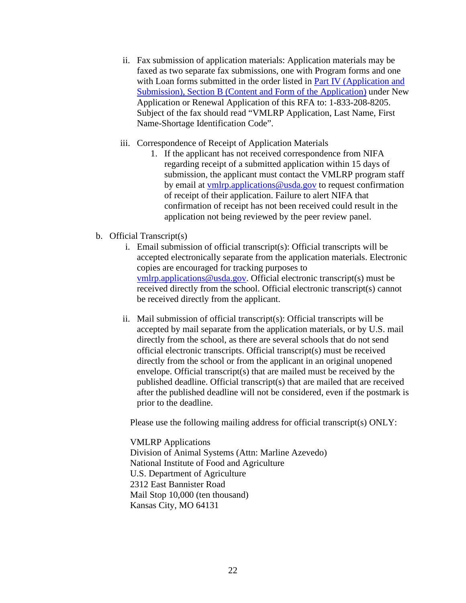- ii. Fax submission of application materials: Application materials may be faxed as two separate fax submissions, one with Program forms and one with Loan forms submitted in the order listed in Part IV (Application and Submission), Section B (Content and Form of the Application) under New Application or Renewal Application of this RFA to: 1-833-208-8205. Subject of the fax should read "VMLRP Application, Last Name, First Name-Shortage Identification Code".
- iii. Correspondence of Receipt of Application Materials
	- 1. If the applicant has not received correspondence from NIFA regarding receipt of a submitted application within 15 days of submission, the applicant must contact the VMLRP program staff by email at [vmlrp.applications@usda.gov](mailto:vmlrp.applications@usda.gov) to request confirmation of receipt of their application. Failure to alert NIFA that confirmation of receipt has not been received could result in the application not being reviewed by the peer review panel.
- b. Official Transcript(s)
	- i. Email submission of official transcript(s): Official transcripts will be accepted electronically separate from the application materials. Electronic copies are encouraged for tracking purposes to [vmlrp.applications@usda.gov.](mailto:vmlrp.applications@usda.gov) Official electronic transcript(s) must be received directly from the school. Official electronic transcript(s) cannot be received directly from the applicant.
	- ii. Mail submission of official transcript(s): Official transcripts will be accepted by mail separate from the application materials, or by U.S. mail directly from the school, as there are several schools that do not send official electronic transcripts. Official transcript(s) must be received directly from the school or from the applicant in an original unopened envelope. Official transcript(s) that are mailed must be received by the published deadline. Official transcript(s) that are mailed that are received after the published deadline will not be considered, even if the postmark is prior to the deadline.

Please use the following mailing address for official transcript(s) ONLY:

VMLRP Applications Division of Animal Systems (Attn: Marline Azevedo) National Institute of Food and Agriculture U.S. Department of Agriculture 2312 East Bannister Road Mail Stop 10,000 (ten thousand) Kansas City, MO 64131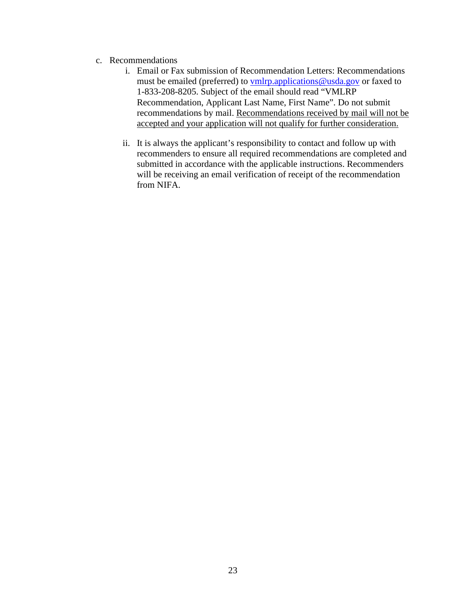- c. Recommendations
	- i. Email or Fax submission of Recommendation Letters: Recommendations must be emailed (preferred) to [vmlrp.applications@usda.gov](mailto:vmlrp.applications@usda.gov) or faxed to 1-833-208-8205. Subject of the email should read "VMLRP Recommendation, Applicant Last Name, First Name". Do not submit recommendations by mail. Recommendations received by mail will not be accepted and your application will not qualify for further consideration.
	- ii. It is always the applicant's responsibility to contact and follow up with recommenders to ensure all required recommendations are completed and submitted in accordance with the applicable instructions. Recommenders will be receiving an email verification of receipt of the recommendation from NIFA.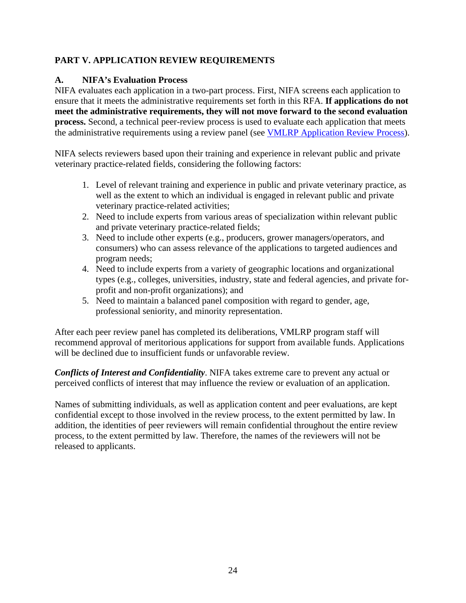# <span id="page-23-0"></span>**PART V. APPLICATION REVIEW REQUIREMENTS**

#### <span id="page-23-1"></span>**A. NIFA's Evaluation Process**

NIFA evaluates each application in a two-part process. First, NIFA screens each application to ensure that it meets the administrative requirements set forth in this RFA. **If applications do not meet the administrative requirements, they will not move forward to the second evaluation process.** Second, a technical peer-review process is used to evaluate each application that meets the administrative requirements using a review panel (see [VMLRP Application Review Process\)](https://www.nifa.usda.gov/vmlrp-application-review-process).

NIFA selects reviewers based upon their training and experience in relevant public and private veterinary practice-related fields, considering the following factors:

- 1. Level of relevant training and experience in public and private veterinary practice, as well as the extent to which an individual is engaged in relevant public and private veterinary practice-related activities;
- 2. Need to include experts from various areas of specialization within relevant public and private veterinary practice-related fields;
- 3. Need to include other experts (e.g., producers, grower managers/operators, and consumers) who can assess relevance of the applications to targeted audiences and program needs;
- 4. Need to include experts from a variety of geographic locations and organizational types (e.g., colleges, universities, industry, state and federal agencies, and private forprofit and non-profit organizations); and
- 5. Need to maintain a balanced panel composition with regard to gender, age, professional seniority, and minority representation.

After each peer review panel has completed its deliberations, VMLRP program staff will recommend approval of meritorious applications for support from available funds. Applications will be declined due to insufficient funds or unfavorable review.

*Conflicts of Interest and Confidentiality*. NIFA takes extreme care to prevent any actual or perceived conflicts of interest that may influence the review or evaluation of an application.

Names of submitting individuals, as well as application content and peer evaluations, are kept confidential except to those involved in the review process, to the extent permitted by law. In addition, the identities of peer reviewers will remain confidential throughout the entire review process, to the extent permitted by law. Therefore, the names of the reviewers will not be released to applicants.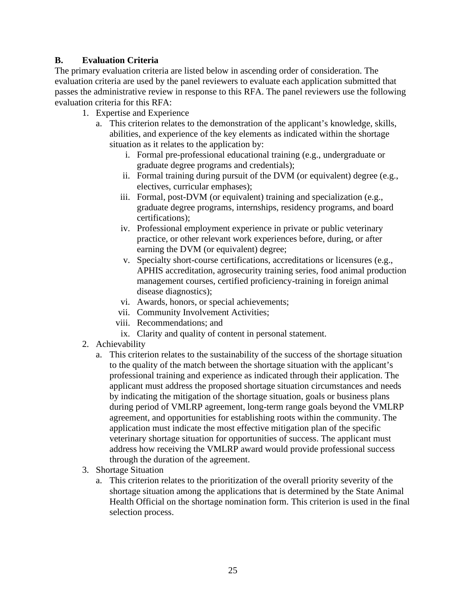#### <span id="page-24-0"></span>**B. Evaluation Criteria**

The primary evaluation criteria are listed below in ascending order of consideration. The evaluation criteria are used by the panel reviewers to evaluate each application submitted that passes the administrative review in response to this RFA. The panel reviewers use the following evaluation criteria for this RFA:

- 1. Expertise and Experience
	- a. This criterion relates to the demonstration of the applicant's knowledge, skills, abilities, and experience of the key elements as indicated within the shortage situation as it relates to the application by:
		- i. Formal pre-professional educational training (e.g., undergraduate or graduate degree programs and credentials);
		- ii. Formal training during pursuit of the DVM (or equivalent) degree (e.g., electives, curricular emphases);
		- iii. Formal, post-DVM (or equivalent) training and specialization (e.g., graduate degree programs, internships, residency programs, and board certifications);
		- iv. Professional employment experience in private or public veterinary practice, or other relevant work experiences before, during, or after earning the DVM (or equivalent) degree;
		- v. Specialty short-course certifications, accreditations or licensures (e.g., APHIS accreditation, agrosecurity training series, food animal production management courses, certified proficiency-training in foreign animal disease diagnostics);
		- vi. Awards, honors, or special achievements;
		- vii. Community Involvement Activities;
		- viii. Recommendations; and
		- ix. Clarity and quality of content in personal statement.
- 2. Achievability
	- a. This criterion relates to the sustainability of the success of the shortage situation to the quality of the match between the shortage situation with the applicant's professional training and experience as indicated through their application. The applicant must address the proposed shortage situation circumstances and needs by indicating the mitigation of the shortage situation, goals or business plans during period of VMLRP agreement, long-term range goals beyond the VMLRP agreement, and opportunities for establishing roots within the community. The application must indicate the most effective mitigation plan of the specific veterinary shortage situation for opportunities of success. The applicant must address how receiving the VMLRP award would provide professional success through the duration of the agreement.
- 3. Shortage Situation
	- a. This criterion relates to the prioritization of the overall priority severity of the shortage situation among the applications that is determined by the State Animal Health Official on the shortage nomination form. This criterion is used in the final selection process.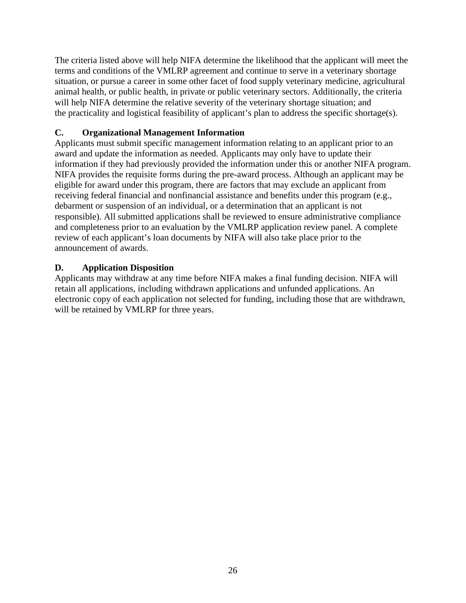The criteria listed above will help NIFA determine the likelihood that the applicant will meet the terms and conditions of the VMLRP agreement and continue to serve in a veterinary shortage situation, or pursue a career in some other facet of food supply veterinary medicine, agricultural animal health, or public health, in private or public veterinary sectors. Additionally, the criteria will help NIFA determine the relative severity of the veterinary shortage situation; and the practicality and logistical feasibility of applicant's plan to address the specific shortage(s).

## <span id="page-25-0"></span>**C. Organizational Management Information**

Applicants must submit specific management information relating to an applicant prior to an award and update the information as needed. Applicants may only have to update their information if they had previously provided the information under this or another NIFA program. NIFA provides the requisite forms during the pre-award process. Although an applicant may be eligible for award under this program, there are factors that may exclude an applicant from receiving federal financial and nonfinancial assistance and benefits under this program (e.g., debarment or suspension of an individual, or a determination that an applicant is not responsible). All submitted applications shall be reviewed to ensure administrative compliance and completeness prior to an evaluation by the VMLRP application review panel. A complete review of each applicant's loan documents by NIFA will also take place prior to the announcement of awards.

#### <span id="page-25-1"></span>**D. Application Disposition**

Applicants may withdraw at any time before NIFA makes a final funding decision. NIFA will retain all applications, including withdrawn applications and unfunded applications. An electronic copy of each application not selected for funding, including those that are withdrawn, will be retained by VMLRP for three years.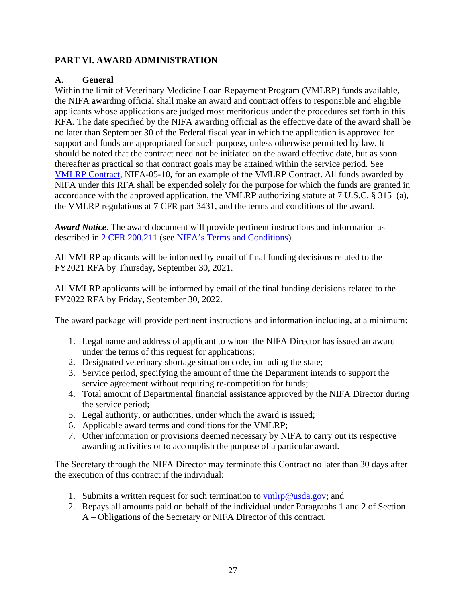#### <span id="page-26-0"></span>**PART VI. AWARD ADMINISTRATION**

#### <span id="page-26-1"></span>**A. General**

Within the limit of Veterinary Medicine Loan Repayment Program (VMLRP) funds available, the NIFA awarding official shall make an award and contract offers to responsible and eligible applicants whose applications are judged most meritorious under the procedures set forth in this RFA. The date specified by the NIFA awarding official as the effective date of the award shall be no later than September 30 of the Federal fiscal year in which the application is approved for support and funds are appropriated for such purpose, unless otherwise permitted by law. It should be noted that the contract need not be initiated on the award effective date, but as soon thereafter as practical so that contract goals may be attained within the service period. See [VMLRP Contract,](https://nifa.usda.gov/resource/vmlrp-contract-nifa-05-10-sample) NIFA-05-10, for an example of the VMLRP Contract. All funds awarded by NIFA under this RFA shall be expended solely for the purpose for which the funds are granted in accordance with the approved application, the VMLRP authorizing statute at 7 U.S.C. § 3151(a), the VMLRP regulations at 7 CFR part 3431, and the terms and conditions of the award.

*Award Notice*. The award document will provide pertinent instructions and information as described in [2 CFR 200.211](https://www.ecfr.gov/cgi-bin/text-idx?SID=b54112232331d9e0c2e3be072adfa89b&mc=true&node=se2.1.200_1211&rgn=div8) (see [NIFA's Terms and Conditions\)](https://nifa.usda.gov/terms-and-conditions).

All VMLRP applicants will be informed by email of final funding decisions related to the FY2021 RFA by Thursday, September 30, 2021.

All VMLRP applicants will be informed by email of the final funding decisions related to the FY2022 RFA by Friday, September 30, 2022.

The award package will provide pertinent instructions and information including, at a minimum:

- 1. Legal name and address of applicant to whom the NIFA Director has issued an award under the terms of this request for applications;
- 2. Designated veterinary shortage situation code, including the state;
- 3. Service period, specifying the amount of time the Department intends to support the service agreement without requiring re-competition for funds;
- 4. Total amount of Departmental financial assistance approved by the NIFA Director during the service period;
- 5. Legal authority, or authorities, under which the award is issued;
- 6. Applicable award terms and conditions for the VMLRP;
- 7. Other information or provisions deemed necessary by NIFA to carry out its respective awarding activities or to accomplish the purpose of a particular award.

The Secretary through the NIFA Director may terminate this Contract no later than 30 days after the execution of this contract if the individual:

- 1. Submits a written request for such termination to  $vmlrp@usda.gov;$  and
- 2. Repays all amounts paid on behalf of the individual under Paragraphs 1 and 2 of Section A – Obligations of the Secretary or NIFA Director of this contract.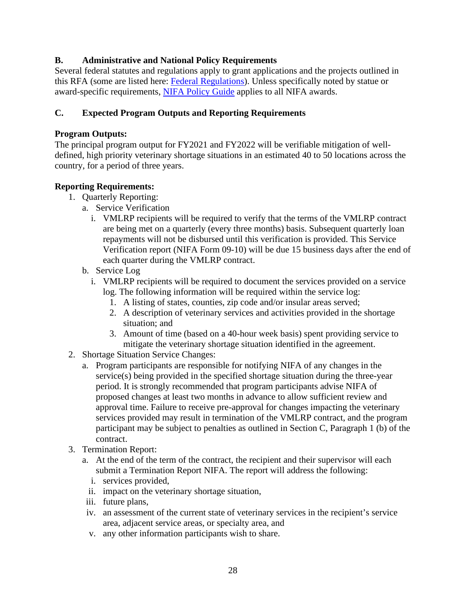#### <span id="page-27-0"></span>**B. Administrative and National Policy Requirements**

Several federal statutes and regulations apply to grant applications and the projects outlined in this RFA (some are listed here: [Federal Regulations\)](https://nifa.usda.gov/federal-regulations). Unless specifically noted by statue or award-specific requirements, [NIFA Policy Guide](https://nifa.usda.gov/policy-guide) applies to all NIFA awards.

#### <span id="page-27-1"></span>**C. Expected Program Outputs and Reporting Requirements**

#### **Program Outputs:**

The principal program output for FY2021 and FY2022 will be verifiable mitigation of welldefined, high priority veterinary shortage situations in an estimated 40 to 50 locations across the country, for a period of three years.

#### **Reporting Requirements:**

- 1. Quarterly Reporting:
	- a. Service Verification
		- i. VMLRP recipients will be required to verify that the terms of the VMLRP contract are being met on a quarterly (every three months) basis. Subsequent quarterly loan repayments will not be disbursed until this verification is provided. This Service Verification report (NIFA Form 09-10) will be due 15 business days after the end of each quarter during the VMLRP contract.
	- b. Service Log
		- i. VMLRP recipients will be required to document the services provided on a service log. The following information will be required within the service log:
			- 1. A listing of states, counties, zip code and/or insular areas served;
			- 2. A description of veterinary services and activities provided in the shortage situation; and
			- 3. Amount of time (based on a 40-hour week basis) spent providing service to mitigate the veterinary shortage situation identified in the agreement.
- 2. Shortage Situation Service Changes:
	- a. Program participants are responsible for notifying NIFA of any changes in the service(s) being provided in the specified shortage situation during the three-year period. It is strongly recommended that program participants advise NIFA of proposed changes at least two months in advance to allow sufficient review and approval time. Failure to receive pre-approval for changes impacting the veterinary services provided may result in termination of the VMLRP contract, and the program participant may be subject to penalties as outlined in Section C, Paragraph 1 (b) of the contract.
- 3. Termination Report:
	- a. At the end of the term of the contract, the recipient and their supervisor will each submit a Termination Report NIFA. The report will address the following:
		- i. services provided,
		- ii. impact on the veterinary shortage situation,
	- iii. future plans,
	- iv. an assessment of the current state of veterinary services in the recipient's service area, adjacent service areas, or specialty area, and
	- v. any other information participants wish to share.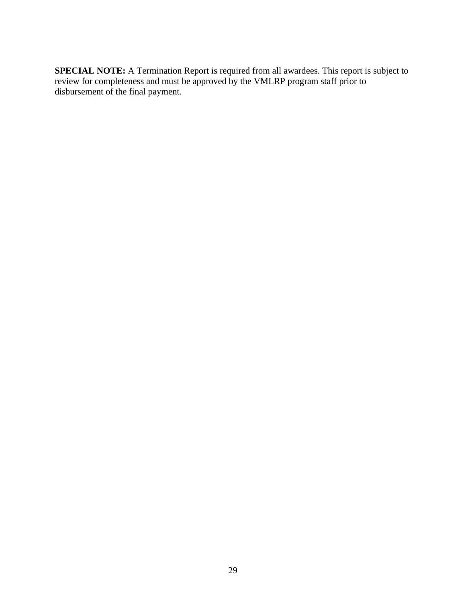**SPECIAL NOTE:** A Termination Report is required from all awardees. This report is subject to review for completeness and must be approved by the VMLRP program staff prior to disbursement of the final payment.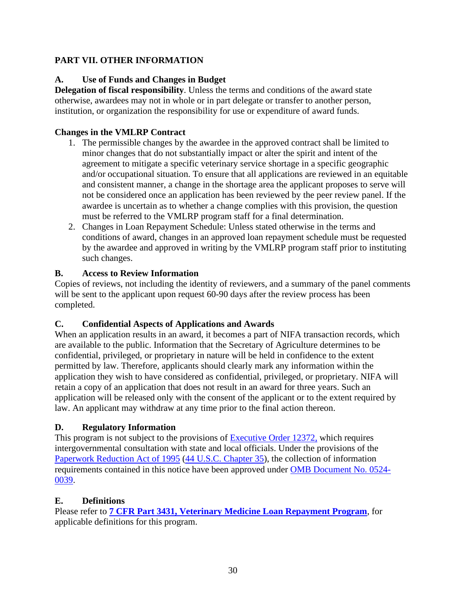# <span id="page-29-0"></span>**PART VII. OTHER INFORMATION**

## <span id="page-29-1"></span>**A. Use of Funds and Changes in Budget**

**Delegation of fiscal responsibility**. Unless the terms and conditions of the award state otherwise, awardees may not in whole or in part delegate or transfer to another person, institution, or organization the responsibility for use or expenditure of award funds.

#### **Changes in the VMLRP Contract**

- 1. The permissible changes by the awardee in the approved contract shall be limited to minor changes that do not substantially impact or alter the spirit and intent of the agreement to mitigate a specific veterinary service shortage in a specific geographic and/or occupational situation. To ensure that all applications are reviewed in an equitable and consistent manner, a change in the shortage area the applicant proposes to serve will not be considered once an application has been reviewed by the peer review panel. If the awardee is uncertain as to whether a change complies with this provision, the question must be referred to the VMLRP program staff for a final determination.
- 2. Changes in Loan Repayment Schedule: Unless stated otherwise in the terms and conditions of award, changes in an approved loan repayment schedule must be requested by the awardee and approved in writing by the VMLRP program staff prior to instituting such changes.

#### <span id="page-29-2"></span>**B. Access to Review Information**

Copies of reviews, not including the identity of reviewers, and a summary of the panel comments will be sent to the applicant upon request 60-90 days after the review process has been completed.

#### <span id="page-29-3"></span>**C. Confidential Aspects of Applications and Awards**

When an application results in an award, it becomes a part of NIFA transaction records, which are available to the public. Information that the Secretary of Agriculture determines to be confidential, privileged, or proprietary in nature will be held in confidence to the extent permitted by law. Therefore, applicants should clearly mark any information within the application they wish to have considered as confidential, privileged, or proprietary. NIFA will retain a copy of an application that does not result in an award for three years. Such an application will be released only with the consent of the applicant or to the extent required by law. An applicant may withdraw at any time prior to the final action thereon.

# <span id="page-29-4"></span>**D. Regulatory Information**

This program is not subject to the provisions of [Executive Order 12372,](https://www.fws.gov/policy/library/rgeo12372.pdf) which requires intergovernmental consultation with state and local officials. Under the provisions of the [Paperwork Reduction Act of 1995](https://www.reginfo.gov/public/reginfo/pra.pdf) [\(44 U.S.C. Chapter 35\)](http://uscode.house.gov/view.xhtml?path=/prelim@title44/chapter35&edition=prelim), the collection of information requirements contained in this notice have been approved under [OMB Document No. 0524-](https://www.federalregister.gov/documents/2018/10/29/2018-23552/submission-for-omb-review-comment-request) [0039.](https://www.federalregister.gov/documents/2018/10/29/2018-23552/submission-for-omb-review-comment-request)

#### <span id="page-29-5"></span>**E. Definitions**

Please refer to **7 CFR [Part 3431, Veterinary Medicine Loan Repayment Program](https://www.ecfr.gov/cgi-bin/text-idx?SID=e3cd63123b08ca3a6cff8bdbc5bb2c9b&node=pt7.15.3431&rgn=div5)**, for applicable definitions for this program.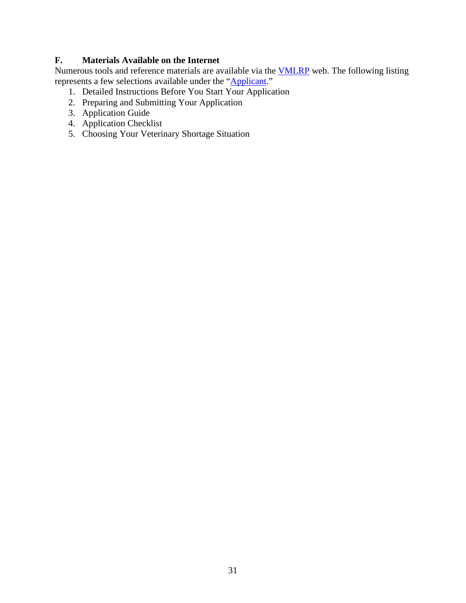#### <span id="page-30-0"></span>**F. Materials Available on the Internet**

Numerous tools and reference materials are available via the [VMLRP](https://nifa.usda.gov/program/veterinary-medicine-loan-repayment-program) web. The following listing represents a few selections available under the ["Applicant.](https://nifa.usda.gov/vmlrp-applicants)"

- 1. Detailed Instructions Before You Start Your Application
- 2. Preparing and Submitting Your Application
- 3. Application Guide
- 4. Application Checklist
- 5. Choosing Your Veterinary Shortage Situation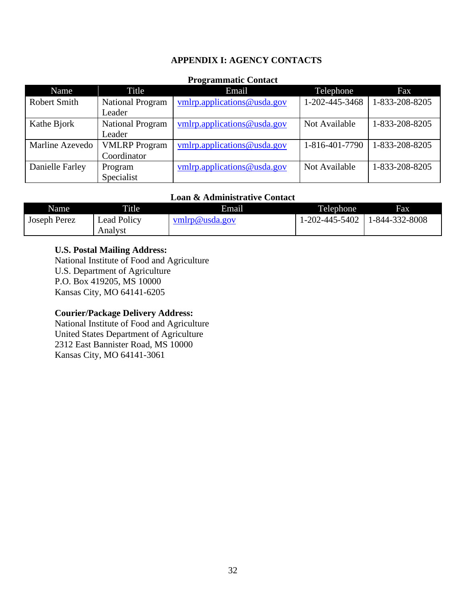#### **APPENDIX I: AGENCY CONTACTS**

#### **Programmatic Contact**

<span id="page-31-0"></span>

| Name            | Title                   | Email                          | Telephone      | Fax            |
|-----------------|-------------------------|--------------------------------|----------------|----------------|
| Robert Smith    | <b>National Program</b> | vmlrp.applications@usda.gov    | 1-202-445-3468 | 1-833-208-8205 |
|                 | Leader                  |                                |                |                |
| Kathe Bjork     | <b>National Program</b> | vmlrp.applications@usda.gov    | Not Available  | 1-833-208-8205 |
|                 | Leader                  |                                |                |                |
| Marline Azevedo | <b>VMLRP</b> Program    | $vmlrp.$ applications@usda.gov | 1-816-401-7790 | 1-833-208-8205 |
|                 | Coordinator             |                                |                |                |
| Danielle Farley | Program                 | $vmlrp.$ applications@usda.gov | Not Available  | 1-833-208-8205 |
|                 | Specialist              |                                |                |                |

#### **Loan & Administrative Contact**

| Name                | <b>Title</b> | Email          | Telephone      | Fax            |
|---------------------|--------------|----------------|----------------|----------------|
| <b>Joseph Perez</b> | Lead Policy  | vmlrp@usda.gov | 1-202-445-5402 | 1-844-332-8008 |
|                     | Analyst      |                |                |                |

#### **U.S. Postal Mailing Address:**

National Institute of Food and Agriculture U.S. Department of Agriculture P.O. Box 419205, MS 10000 Kansas City, MO 64141-6205

#### **Courier/Package Delivery Address:**

National Institute of Food and Agriculture United States Department of Agriculture 2312 East Bannister Road, MS 10000 Kansas City, MO 64141-3061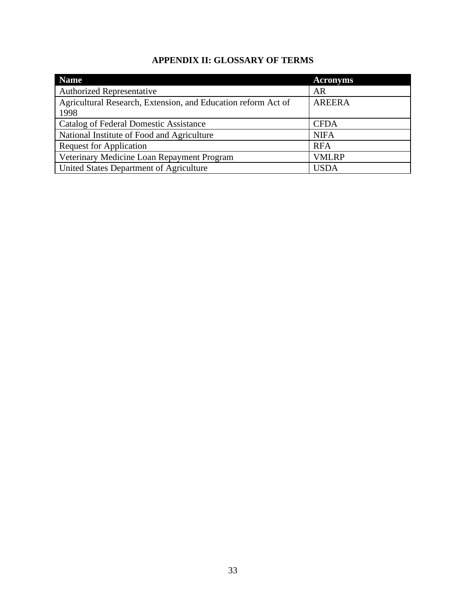# **APPENDIX II: GLOSSARY OF TERMS**

<span id="page-32-1"></span><span id="page-32-0"></span>

| <b>Name</b>                                                   | <b>Acronyms</b> |
|---------------------------------------------------------------|-----------------|
| <b>Authorized Representative</b>                              | <b>AR</b>       |
| Agricultural Research, Extension, and Education reform Act of | <b>AREERA</b>   |
| 1998                                                          |                 |
| Catalog of Federal Domestic Assistance                        | <b>CFDA</b>     |
| National Institute of Food and Agriculture                    | <b>NIFA</b>     |
| <b>Request for Application</b>                                | <b>RFA</b>      |
| Veterinary Medicine Loan Repayment Program                    | <b>VMLRP</b>    |
| United States Department of Agriculture                       | <b>USDA</b>     |